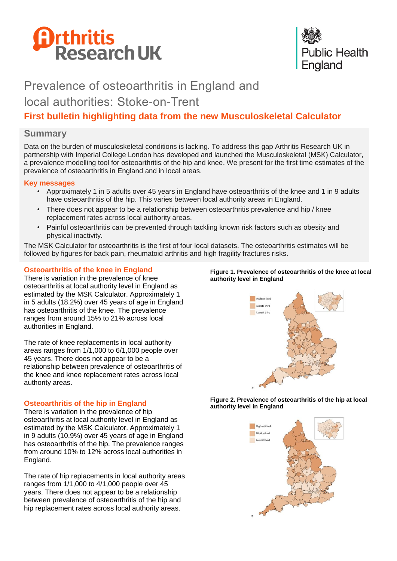# **Drthritis<br>Research UK**



## Prevalence of osteoarthritis in England and

### local authorities: Stoke-on-Trent

#### **First bulletin highlighting data from the new Musculoskeletal Calculator**

#### **Summary**

Data on the burden of musculoskeletal conditions is lacking. To address this gap Arthritis Research UK in partnership with Imperial College London has developed and launched the Musculoskeletal (MSK) Calculator, a prevalence modelling tool for osteoarthritis of the hip and knee. We present for the first time estimates of the prevalence of osteoarthritis in England and in local areas.

#### **Key messages**

- Approximately 1 in 5 adults over 45 years in England have osteoarthritis of the knee and 1 in 9 adults have osteoarthritis of the hip. This varies between local authority areas in England.
- There does not appear to be a relationship between osteoarthritis prevalence and hip / knee replacement rates across local authority areas.
- Painful osteoarthritis can be prevented through tackling known risk factors such as obesity and physical inactivity.

The MSK Calculator for osteoarthritis is the first of four local datasets. The osteoarthritis estimates will be followed by figures for back pain, rheumatoid arthritis and high fragility fractures risks.

#### **Osteoarthritis of the knee in England**

There is variation in the prevalence of knee osteoarthritis at local authority level in England as estimated by the MSK Calculator. Approximately 1 in 5 adults (18.2%) over 45 years of age in England has osteoarthritis of the knee. The prevalence ranges from around 15% to 21% across local authorities in England.

The rate of knee replacements in local authority areas ranges from 1/1,000 to 6/1,000 people over 45 years. There does not appear to be a relationship between prevalence of osteoarthritis of the knee and knee replacement rates across local authority areas.

#### **Osteoarthritis of the hip in England**

There is variation in the prevalence of hip osteoarthritis at local authority level in England as estimated by the MSK Calculator. Approximately 1 in 9 adults (10.9%) over 45 years of age in England has osteoarthritis of the hip. The prevalence ranges from around 10% to 12% across local authorities in England.

The rate of hip replacements in local authority areas ranges from 1/1,000 to 4/1,000 people over 45 years. There does not appear to be a relationship between prevalence of osteoarthritis of the hip and hip replacement rates across local authority areas.

#### **Figure 1. Prevalence of osteoarthritis of the knee at local authority level in England**



#### **Figure 2. Prevalence of osteoarthritis of the hip at local authority level in England**

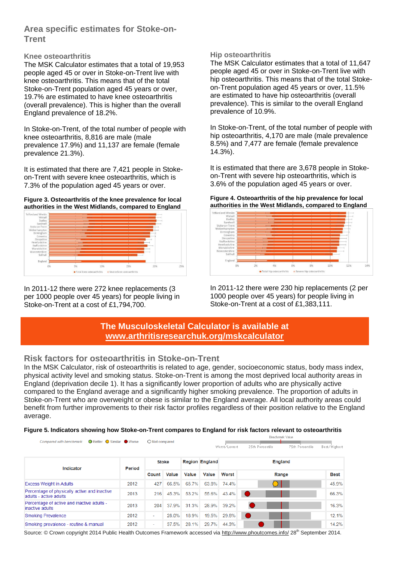#### **Area specific estimates for Stoke-on-Trent**

#### **Knee osteoarthritis**

The MSK Calculator estimates that a total of 19,953 people aged 45 or over in Stoke-on-Trent live with knee osteoarthritis. This means that of the total Stoke-on-Trent population aged 45 years or over, 19.7% are estimated to have knee osteoarthritis (overall prevalence). This is higher than the overall England prevalence of 18.2%.

In Stoke-on-Trent, of the total number of people with knee osteoarthritis, 8,816 are male (male prevalence 17.9%) and 11,137 are female (female prevalence 21.3%).

It is estimated that there are 7,421 people in Stokeon-Trent with severe knee osteoarthritis, which is 7.3% of the population aged 45 years or over.

#### **Figure 3. Osteoarthritis of the knee prevalence for local authorities in the West Midlands, compared to England**



In 2011-12 there were 272 knee replacements (3 per 1000 people over 45 years) for people living in Stoke-on-Trent at a cost of £1,794,700.

#### **Hip osteoarthritis**

The MSK Calculator estimates that a total of 11,647 people aged 45 or over in Stoke-on-Trent live with hip osteoarthritis. This means that of the total Stokeon-Trent population aged 45 years or over, 11.5% are estimated to have hip osteoarthritis (overall prevalence). This is similar to the overall England prevalence of 10.9%.

In Stoke-on-Trent, of the total number of people with hip osteoarthritis, 4,170 are male (male prevalence 8.5%) and 7,477 are female (female prevalence 14.3%).

It is estimated that there are 3,678 people in Stokeon-Trent with severe hip osteoarthritis, which is 3.6% of the population aged 45 years or over.

#### **Figure 4. Osteoarthritis of the hip prevalence for local authorities in the West Midlands, compared to England**



In 2011-12 there were 230 hip replacements (2 per 1000 people over 45 years) for people living in Stoke-on-Trent at a cost of £1,383,111.

#### **The Musculoskeletal Calculator is available at [www.arthritisresearchuk.org/mskcalculator](http://www.arthritisresearchuk.org/mskcalculator)**

#### **Risk factors for osteoarthritis in Stoke-on-Trent**

In the MSK Calculator, risk of osteoarthritis is related to age, gender, socioeconomic status, body mass index, physical activity level and smoking status. Stoke-on-Trent is among the most deprived local authority areas in England (deprivation decile 1). It has a significantly lower proportion of adults who are physically active compared to the England average and a significantly higher smoking prevalence. The proportion of adults in Stoke-on-Trent who are overweight or obese is similar to the England average. All local authority areas could benefit from further improvements to their risk factor profiles regardless of their position relative to the England average.

#### **Figure 5. Indicators showing how Stoke-on-Trent compares to England for risk factors relevant to osteoarthritis**

|                                                                        |                |                          |       |       | Benchmark Value       |                                    |              |             |
|------------------------------------------------------------------------|----------------|--------------------------|-------|-------|-----------------------|------------------------------------|--------------|-------------|
| Compared with benchmark: ● Better ● Similar ● Worse                    | O Not compared |                          |       |       | Worst/Lowest          | 75th Percentile<br>25th Percentile | Best/Highest |             |
| Indicator                                                              | <b>Period</b>  | <b>Stoke</b>             |       |       | <b>Region England</b> | <b>England</b>                     |              |             |
|                                                                        |                | Count                    | Value | Value | Value                 | Worst                              | Range        | <b>Best</b> |
| <b>Excess Weight in Adults</b>                                         | 2012           | 427                      | 66.5% | 65.7% |                       | 63.8% 74.4%                        |              | 45.9%       |
| Percentage of physically active and inactive<br>adults - active adults | 2013           | 216                      | 45.3% | 53.2% | 55.6%                 | $43.4\%$                           |              | 66.3%       |
| Percentage of active and inactive adults -<br>inactive adults          | 2013           | 204                      | 37.9% | 31.3% | 28.9%                 | 39.2%                              |              | 16.3%       |
| <b>Smoking Prevalence</b>                                              | 2012           | ٠                        | 28.0% | 18.9% | 19.5%                 | 29.8%                              | <b>O</b>     | 12.1%       |
| Smoking prevalence - routine & manual                                  | 2012           | $\overline{\phantom{a}}$ | 37.5% | 28.1% | 29.7%                 | 44.3%                              |              | 14.2%       |

Source: © Crown copyright 2014 Public Health Outcomes Framework accessed via http://www.phoutcomes.info/ 28<sup>th</sup> September 2014.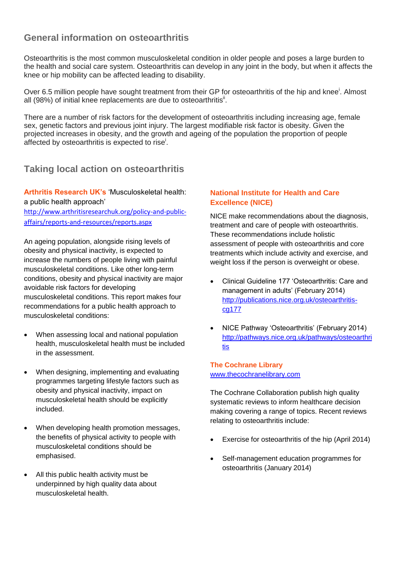#### **General information on osteoarthritis**

Osteoarthritis is the most common musculoskeletal condition in older people and poses a large burden to the health and social care system. Osteoarthritis can develop in any joint in the body, but when it affects the knee or hip mobility can be affected leading to disability.

Over 6.5 million people have sought treatment from their GP for osteoarthritis of the hip and knee<sup>i</sup>. Almost all (98%) of initial knee replacements are due to osteoarthritis<sup>ii</sup>.

There are a number of risk factors for the development of osteoarthritis including increasing age, female sex, genetic factors and previous joint injury. The largest modifiable risk factor is obesity. Given the projected increases in obesity, and the growth and ageing of the population the proportion of people affected by osteoarthritis is expected to rise<sup>1</sup>.

#### **Taking local action on osteoarthritis**

#### **Arthritis Research UK's** 'Musculoskeletal health: a public health approach'

[http://www.arthritisresearchuk.org/policy-and-public](http://www.arthritisresearchuk.org/policy-and-public-affairs/reports-and-resources/reports.aspx)[affairs/reports-and-resources/reports.aspx](http://www.arthritisresearchuk.org/policy-and-public-affairs/reports-and-resources/reports.aspx)

An ageing population, alongside rising levels of obesity and physical inactivity, is expected to increase the numbers of people living with painful musculoskeletal conditions. Like other long-term conditions, obesity and physical inactivity are major avoidable risk factors for developing musculoskeletal conditions. This report makes four recommendations for a public health approach to musculoskeletal conditions:

- When assessing local and national population health, musculoskeletal health must be included in the assessment.
- When designing, implementing and evaluating programmes targeting lifestyle factors such as obesity and physical inactivity, impact on musculoskeletal health should be explicitly included.
- When developing health promotion messages, the benefits of physical activity to people with musculoskeletal conditions should be emphasised.
- All this public health activity must be underpinned by high quality data about musculoskeletal health.

#### **National Institute for Health and Care Excellence (NICE)**

NICE make recommendations about the diagnosis, treatment and care of people with osteoarthritis. These recommendations include holistic assessment of people with osteoarthritis and core treatments which include activity and exercise, and weight loss if the person is overweight or obese.

- Clinical Guideline 177 'Osteoarthritis: Care and management in adults' (February 2014) [http://publications.nice.org.uk/osteoarthritis](http://publications.nice.org.uk/osteoarthritis-cg177)[cg177](http://publications.nice.org.uk/osteoarthritis-cg177)
- NICE Pathway 'Osteoarthritis' (February 2014) [http://pathways.nice.org.uk/pathways/osteoarthri](http://pathways.nice.org.uk/pathways/osteoarthritis) [tis](http://pathways.nice.org.uk/pathways/osteoarthritis)

#### **The Cochrane Library**  [www.thecochranelibrary.com](http://www.thecochranelibrary.com/)

The Cochrane Collaboration publish high quality systematic reviews to inform healthcare decision making covering a range of topics. Recent reviews relating to osteoarthritis include:

- Exercise for osteoarthritis of the hip (April 2014)
- Self-management education programmes for osteoarthritis (January 2014)